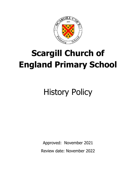

# **Scargill Church of England Primary School**

# History Policy

Approved: November 2021 Review date: November 2022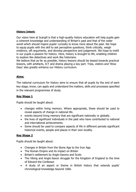#### **History Intent:**

Our vision here at Scargill is that a high-quality history education will help pupils gain a coherent knowledge and understanding of Britain's past and that of the wider world which should inspire pupils' curiosity to know more about the past. We hope to equip pupils with the skill to ask perceptive questions, think critically, weigh evidence, sift arguments, and develop perspective and judgement. We hope to instill in our pupils a passion for history. Here, history is brought to life, enabling children to explore like detectives and work like historians.

We believe that as far as possible, history lessons should be biased towards practical lessons, with artefacts, ICT and drama playing a key part. Trips, visitors and 'Wow Days' also greatly enhance our History curriculum.

#### **Aims:**

The national curriculum for history aims to ensure that all pupils by the end of each key stage, know, can apply and understand the matters, skills and processes specified in the relevant programmes of study.

## **Key Stage 1**

Pupils should be taught about:

- changes within living memory. Where appropriate, these should be used to reveal aspects of change in national life.
- events beyond living memory that are significant nationally or globally.
- the lives of significant individuals in the past who have contributed to national and international achievements.
- Some should be used to compare aspects of life in different periods significant historical events, people and places in their own locality.

## **Key Stage 2**

Pupils should be taught about:

- Changes in Britain from the Stone Age to the Iron Age.
- The Roman Empire and its impact on Britain
- Britain's settlement by Anglo-Saxons and Scots
- The Viking and Anglo-Saxon struggle for the Kingdom of England to the time of Edward the Confessor
- A study of an aspect or theme in British history that extends pupils' chronological knowledge beyond 1066.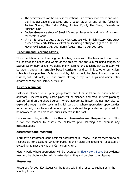- The achievements of the earliest civilizations an overview of where and when the first civilizations appeared and a depth study of one of the following: Ancient Sumer; The Indus Valley; Ancient Egypt; The Shang, Dynasty of Ancient China
- Ancient Greece a study of Greek life and achievements and their influence on the western world .
- A non-European society that provides contrasts with British history. One study chosen from: early Islamic civilization, including a study of Baghdad c. AD 900; Mayan civilization c. AD 900; Benin (West Africa) c. AD 900-1300

## **Teaching and Learning Styles:**

The expectation is that Learning and teaching styles will differ from each lesson and will address the needs and wants of the children and the subject being taught. At Scargill CE Primary School we utilise many learning and teaching styles. History will be taught through an **enquiry based** curriculum and can link to other curriculum subjects where possible. As far as possible, history should be biased towards practical lessons, with artefacts, ICT and drama playing a key part. Trips and visitors also greatly enhance our History curriculum.

## **History planning:**

History is planned for in year group teams and it must follow an enquiry based approach. Discreet history lesson plans will be planned, and medium term planning can be found on the shared server. Where appropriate history themes may also be explored through quality texts in English sessions. Where appropriate opportunities for extended, open historical research projects should be provided as option within homework tasks, to help foster pupils' interest in the past.

Lessons are to begin with a quick **Revisit, Remember and Respond** activity. This is for the teacher to assess the children's prior learning and address any misconceptions

## **Assessment and recording:**

Formative assessment is the basis for assessment in History. Class teachers are to be responsible for assessing whether pupils in their class are emerging, expected or exceeding against the National Curriculum criteria.

History work, where appropriate, will be recorded in Blue History Books but evidence may also be photographic, within extended writing and on classroom displays.

## **Resources:**

Resources for both Key Stages can be found within the resource cupboards in the Meeting Room.